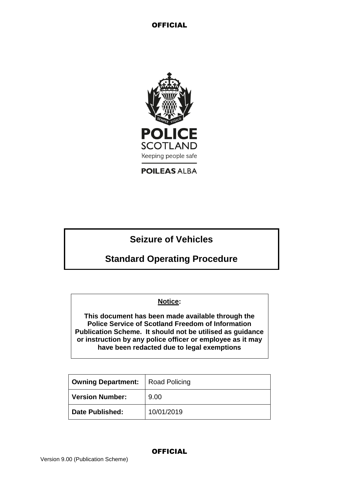

**POILEAS ALBA** 

# **Seizure of Vehicles**

# **Standard Operating Procedure**

## **Notice:**

**This document has been made available through the Police Service of Scotland Freedom of Information Publication Scheme. It should not be utilised as guidance or instruction by any police officer or employee as it may have been redacted due to legal exemptions**

| <b>Owning Department:</b> | <b>Road Policing</b> |
|---------------------------|----------------------|
| <b>Version Number:</b>    | 9.00                 |
| <b>Date Published:</b>    | 10/01/2019           |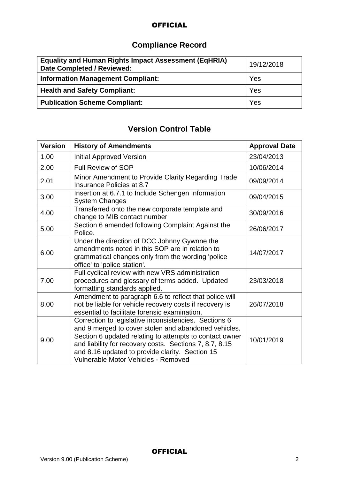# **Compliance Record**

| <b>Equality and Human Rights Impact Assessment (EqHRIA)</b><br>Date Completed / Reviewed: | 19/12/2018 |
|-------------------------------------------------------------------------------------------|------------|
| <b>Information Management Compliant:</b>                                                  | Yes        |
| <b>Health and Safety Compliant:</b>                                                       | Yes        |
| <b>Publication Scheme Compliant:</b>                                                      | Yes        |

# **Version Control Table**

| <b>Version</b> | <b>History of Amendments</b>                                                                                                                                                                                                                                                                                                  | <b>Approval Date</b> |
|----------------|-------------------------------------------------------------------------------------------------------------------------------------------------------------------------------------------------------------------------------------------------------------------------------------------------------------------------------|----------------------|
| 1.00           | <b>Initial Approved Version</b>                                                                                                                                                                                                                                                                                               | 23/04/2013           |
| 2.00           | Full Review of SOP                                                                                                                                                                                                                                                                                                            | 10/06/2014           |
| 2.01           | Minor Amendment to Provide Clarity Regarding Trade<br>Insurance Policies at 8.7                                                                                                                                                                                                                                               | 09/09/2014           |
| 3.00           | Insertion at 6.7.1 to Include Schengen Information<br><b>System Changes</b>                                                                                                                                                                                                                                                   | 09/04/2015           |
| 4.00           | Transferred onto the new corporate template and<br>change to MIB contact number                                                                                                                                                                                                                                               | 30/09/2016           |
| 5.00           | Section 6 amended following Complaint Against the<br>Police.                                                                                                                                                                                                                                                                  | 26/06/2017           |
| 6.00           | Under the direction of DCC Johnny Gywnne the<br>amendments noted in this SOP are in relation to<br>grammatical changes only from the wording 'police<br>office' to 'police station'.                                                                                                                                          | 14/07/2017           |
| 7.00           | Full cyclical review with new VRS administration<br>procedures and glossary of terms added. Updated<br>formatting standards applied.                                                                                                                                                                                          | 23/03/2018           |
| 8.00           | Amendment to paragraph 6.6 to reflect that police will<br>not be liable for vehicle recovery costs if recovery is<br>essential to facilitate forensic examination.                                                                                                                                                            | 26/07/2018           |
| 9.00           | Correction to legislative inconsistencies. Sections 6<br>and 9 merged to cover stolen and abandoned vehicles.<br>Section 6 updated relating to attempts to contact owner<br>and liability for recovery costs. Sections 7, 8.7, 8.15<br>and 8.16 updated to provide clarity. Section 15<br>Vulnerable Motor Vehicles - Removed | 10/01/2019           |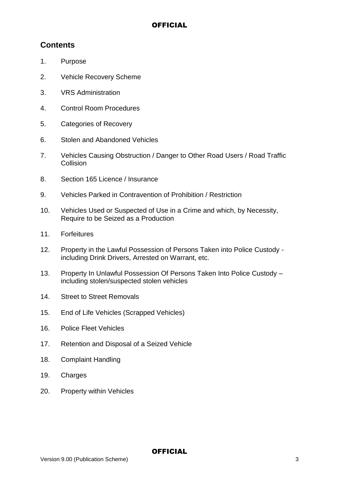# **Contents**

- 1. Purpose
- 2. Vehicle Recovery Scheme
- 3. VRS Administration
- 4. Control Room Procedures
- 5. Categories of Recovery
- 6. Stolen and Abandoned Vehicles
- 7. Vehicles Causing Obstruction / Danger to Other Road Users / Road Traffic **Collision**
- 8. Section 165 Licence / Insurance
- 9. Vehicles Parked in Contravention of Prohibition / Restriction
- 10. Vehicles Used or Suspected of Use in a Crime and which, by Necessity, Require to be Seized as a Production
- 11. Forfeitures
- 12. Property in the Lawful Possession of Persons Taken into Police Custody including Drink Drivers, Arrested on Warrant, etc.
- 13. Property In Unlawful Possession Of Persons Taken Into Police Custody including stolen/suspected stolen vehicles
- 14. Street to Street Removals
- 15. End of Life Vehicles (Scrapped Vehicles)
- 16. Police Fleet Vehicles
- 17. Retention and Disposal of a Seized Vehicle
- 18. Complaint Handling
- 19. Charges
- 20. Property within Vehicles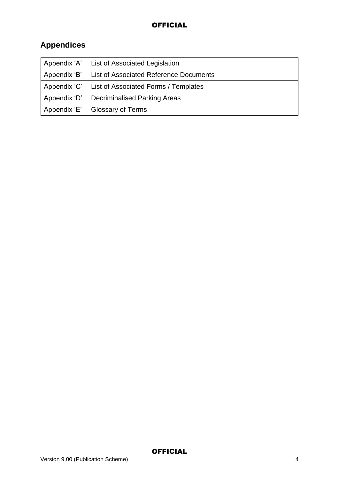# **Appendices**

| Appendix 'A' | List of Associated Legislation                |
|--------------|-----------------------------------------------|
| Appendix 'B' | <b>List of Associated Reference Documents</b> |
| Appendix 'C' | List of Associated Forms / Templates          |
| Appendix 'D' | <b>Decriminalised Parking Areas</b>           |
| Appendix 'E' | <b>Glossary of Terms</b>                      |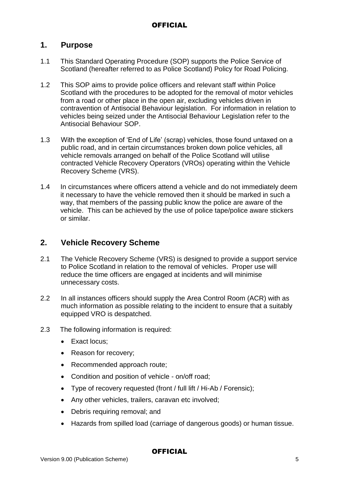## **1. Purpose**

- 1.1 This Standard Operating Procedure (SOP) supports the Police Service of Scotland (hereafter referred to as Police Scotland) Policy for Road Policing.
- 1.2 This SOP aims to provide police officers and relevant staff within Police Scotland with the procedures to be adopted for the removal of motor vehicles from a road or other place in the open air, excluding vehicles driven in contravention of Antisocial Behaviour legislation. For information in relation to vehicles being seized under the Antisocial Behaviour Legislation refer to the Antisocial Behaviour SOP.
- 1.3 With the exception of 'End of Life' (scrap) vehicles, those found untaxed on a public road, and in certain circumstances broken down police vehicles, all vehicle removals arranged on behalf of the Police Scotland will utilise contracted Vehicle Recovery Operators (VROs) operating within the Vehicle Recovery Scheme (VRS).
- 1.4 In circumstances where officers attend a vehicle and do not immediately deem it necessary to have the vehicle removed then it should be marked in such a way, that members of the passing public know the police are aware of the vehicle. This can be achieved by the use of police tape/police aware stickers or similar.

# **2. Vehicle Recovery Scheme**

- 2.1 The Vehicle Recovery Scheme (VRS) is designed to provide a support service to Police Scotland in relation to the removal of vehicles. Proper use will reduce the time officers are engaged at incidents and will minimise unnecessary costs.
- 2.2 In all instances officers should supply the Area Control Room (ACR) with as much information as possible relating to the incident to ensure that a suitably equipped VRO is despatched.
- 2.3 The following information is required:
	- Exact locus:
	- Reason for recovery;
	- Recommended approach route;
	- Condition and position of vehicle on/off road;
	- Type of recovery requested (front / full lift / Hi-Ab / Forensic);
	- Any other vehicles, trailers, caravan etc involved;
	- Debris requiring removal; and
	- Hazards from spilled load (carriage of dangerous goods) or human tissue.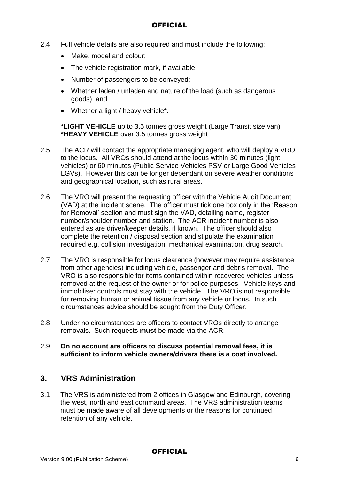- 2.4 Full vehicle details are also required and must include the following:
	- Make, model and colour;
	- The vehicle registration mark, if available:
	- Number of passengers to be conveyed;
	- Whether laden / unladen and nature of the load (such as dangerous goods); and
	- Whether a light / heavy vehicle\*.

**\*LIGHT VEHICLE** up to 3.5 tonnes gross weight (Large Transit size van) **\*HEAVY VEHICLE** over 3.5 tonnes gross weight

- 2.5 The ACR will contact the appropriate managing agent, who will deploy a VRO to the locus. All VROs should attend at the locus within 30 minutes (light vehicles) or 60 minutes (Public Service Vehicles PSV or Large Good Vehicles LGVs). However this can be longer dependant on severe weather conditions and geographical location, such as rural areas.
- 2.6 The VRO will present the requesting officer with the Vehicle Audit Document (VAD) at the incident scene. The officer must tick one box only in the 'Reason for Removal' section and must sign the VAD, detailing name, register number/shoulder number and station. The ACR incident number is also entered as are driver/keeper details, if known. The officer should also complete the retention / disposal section and stipulate the examination required e.g. collision investigation, mechanical examination, drug search.
- 2.7 The VRO is responsible for locus clearance (however may require assistance from other agencies) including vehicle, passenger and debris removal. The VRO is also responsible for items contained within recovered vehicles unless removed at the request of the owner or for police purposes. Vehicle keys and immobiliser controls must stay with the vehicle. The VRO is not responsible for removing human or animal tissue from any vehicle or locus. In such circumstances advice should be sought from the Duty Officer.
- 2.8 Under no circumstances are officers to contact VROs directly to arrange removals. Such requests **must** be made via the ACR.
- 2.9 **On no account are officers to discuss potential removal fees, it is sufficient to inform vehicle owners/drivers there is a cost involved.**

# **3. VRS Administration**

3.1 The VRS is administered from 2 offices in Glasgow and Edinburgh, covering the west, north and east command areas. The VRS administration teams must be made aware of all developments or the reasons for continued retention of any vehicle.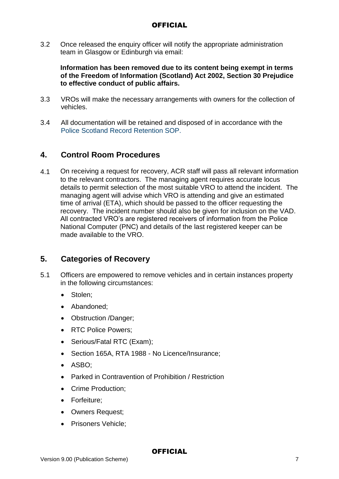3.2 Once released the enquiry officer will notify the appropriate administration team in Glasgow or Edinburgh via email:

#### **Information has been removed due to its content being exempt in terms of the Freedom of Information (Scotland) Act 2002, Section 30 Prejudice to effective conduct of public affairs.**

- 3.3 VROs will make the necessary arrangements with owners for the collection of vehicles.
- 3.4 All documentation will be retained and disposed of in accordance with the Police Scotland Record Retention SOP.

## **4. Control Room Procedures**

4.1 On receiving a request for recovery, ACR staff will pass all relevant information to the relevant contractors. The managing agent requires accurate locus details to permit selection of the most suitable VRO to attend the incident. The managing agent will advise which VRO is attending and give an estimated time of arrival (ETA), which should be passed to the officer requesting the recovery. The incident number should also be given for inclusion on the VAD. All contracted VRO's are registered receivers of information from the Police National Computer (PNC) and details of the last registered keeper can be made available to the VRO.

## **5. Categories of Recovery**

- 5.1 Officers are empowered to remove vehicles and in certain instances property in the following circumstances:
	- Stolen;
	- Abandoned:
	- Obstruction /Danger;
	- RTC Police Powers:
	- Serious/Fatal RTC (Exam);
	- Section 165A, RTA 1988 No Licence/Insurance;
	- ASBO:
	- Parked in Contravention of Prohibition / Restriction
	- Crime Production:
	- Forfeiture;
	- Owners Request;
	- Prisoners Vehicle;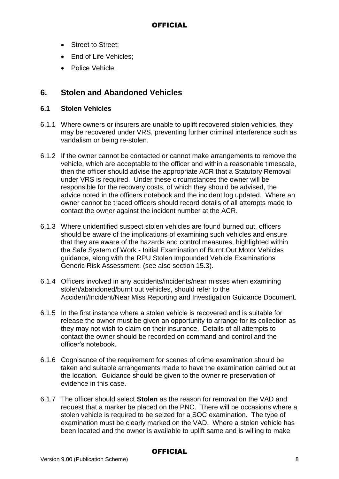- Street to Street:
- End of Life Vehicles;
- Police Vehicle.

## **6. Stolen and Abandoned Vehicles**

#### **6.1 Stolen Vehicles**

- 6.1.1 Where owners or insurers are unable to uplift recovered stolen vehicles, they may be recovered under VRS, preventing further criminal interference such as vandalism or being re-stolen.
- 6.1.2 If the owner cannot be contacted or cannot make arrangements to remove the vehicle, which are acceptable to the officer and within a reasonable timescale, then the officer should advise the appropriate ACR that a Statutory Removal under VRS is required. Under these circumstances the owner will be responsible for the recovery costs, of which they should be advised, the advice noted in the officers notebook and the incident log updated. Where an owner cannot be traced officers should record details of all attempts made to contact the owner against the incident number at the ACR.
- 6.1.3 Where unidentified suspect stolen vehicles are found burned out, officers should be aware of the implications of examining such vehicles and ensure that they are aware of the hazards and control measures, highlighted within the Safe System of Work - Initial Examination of Burnt Out Motor Vehicles guidance, along with the RPU Stolen Impounded Vehicle Examinations Generic Risk Assessment. (see also section 15.3).
- 6.1.4 Officers involved in any accidents/incidents/near misses when examining stolen/abandoned/burnt out vehicles, should refer to the Accident/Incident/Near Miss Reporting and Investigation Guidance Document.
- 6.1.5 In the first instance where a stolen vehicle is recovered and is suitable for release the owner must be given an opportunity to arrange for its collection as they may not wish to claim on their insurance. Details of all attempts to contact the owner should be recorded on command and control and the officer's notebook.
- 6.1.6 Cognisance of the requirement for scenes of crime examination should be taken and suitable arrangements made to have the examination carried out at the location. Guidance should be given to the owner re preservation of evidence in this case.
- 6.1.7 The officer should select **Stolen** as the reason for removal on the VAD and request that a marker be placed on the PNC. There will be occasions where a stolen vehicle is required to be seized for a SOC examination. The type of examination must be clearly marked on the VAD. Where a stolen vehicle has been located and the owner is available to uplift same and is willing to make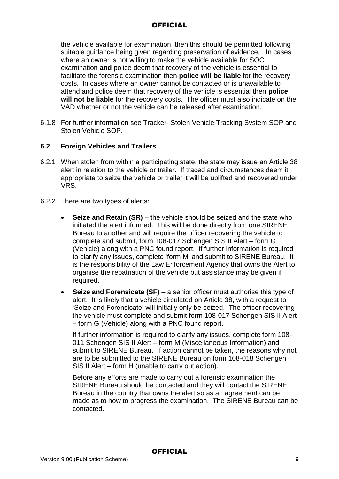the vehicle available for examination, then this should be permitted following suitable guidance being given regarding preservation of evidence. In cases where an owner is not willing to make the vehicle available for SOC examination **and** police deem that recovery of the vehicle is essential to facilitate the forensic examination then **police will be liable** for the recovery costs. In cases where an owner cannot be contacted or is unavailable to attend and police deem that recovery of the vehicle is essential then **police will not be liable** for the recovery costs. The officer must also indicate on the VAD whether or not the vehicle can be released after examination.

6.1.8 For further information see Tracker- Stolen Vehicle Tracking System SOP and Stolen Vehicle SOP.

#### **6.2 Foreign Vehicles and Trailers**

- 6.2.1 When stolen from within a participating state, the state may issue an Article 38 alert in relation to the vehicle or trailer. If traced and circumstances deem it appropriate to seize the vehicle or trailer it will be uplifted and recovered under VRS.
- 6.2.2 There are two types of alerts:
	- **Seize and Retain (SR)** the vehicle should be seized and the state who initiated the alert informed. This will be done directly from one SIRENE Bureau to another and will require the officer recovering the vehicle to complete and submit, form 108-017 Schengen SIS II Alert – form G (Vehicle) along with a PNC found report. If further information is required to clarify any issues, complete 'form M' and submit to SIRENE Bureau. It is the responsibility of the Law Enforcement Agency that owns the Alert to organise the repatriation of the vehicle but assistance may be given if required.
	- **Seize and Forensicate (SF)** a senior officer must authorise this type of alert. It is likely that a vehicle circulated on Article 38, with a request to 'Seize and Forensicate' will initially only be seized. The officer recovering the vehicle must complete and submit form 108-017 Schengen SIS II Alert – form G (Vehicle) along with a PNC found report.

If further information is required to clarify any issues, complete form 108- 011 Schengen SIS II Alert – form M (Miscellaneous Information) and submit to SIRENE Bureau. If action cannot be taken, the reasons why not are to be submitted to the SIRENE Bureau on form 108-018 Schengen SIS II Alert – form H (unable to carry out action).

Before any efforts are made to carry out a forensic examination the SIRENE Bureau should be contacted and they will contact the SIRENE Bureau in the country that owns the alert so as an agreement can be made as to how to progress the examination. The SIRENE Bureau can be contacted.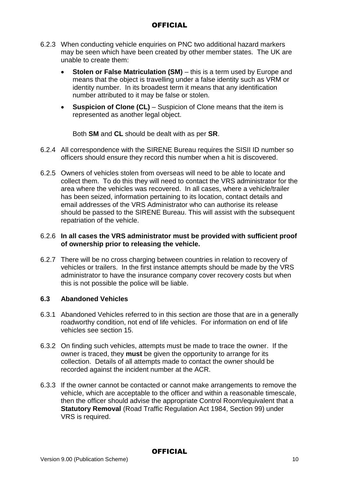- 6.2.3 When conducting vehicle enquiries on PNC two additional hazard markers may be seen which have been created by other member states. The UK are unable to create them:
	- **Stolen or False Matriculation (SM)** this is a term used by Europe and means that the object is travelling under a false identity such as VRM or identity number. In its broadest term it means that any identification number attributed to it may be false or stolen.
	- **Suspicion of Clone (CL)**  Suspicion of Clone means that the item is represented as another legal object.

Both **SM** and **CL** should be dealt with as per **SR**.

- 6.2.4 All correspondence with the SIRENE Bureau requires the SISII ID number so officers should ensure they record this number when a hit is discovered.
- 6.2.5 Owners of vehicles stolen from overseas will need to be able to locate and collect them. To do this they will need to contact the VRS administrator for the area where the vehicles was recovered. In all cases, where a vehicle/trailer has been seized, information pertaining to its location, contact details and email addresses of the VRS Administrator who can authorise its release should be passed to the SIRENE Bureau. This will assist with the subsequent repatriation of the vehicle.

#### 6.2.6 **In all cases the VRS administrator must be provided with sufficient proof of ownership prior to releasing the vehicle.**

6.2.7 There will be no cross charging between countries in relation to recovery of vehicles or trailers. In the first instance attempts should be made by the VRS administrator to have the insurance company cover recovery costs but when this is not possible the police will be liable.

#### **6.3 Abandoned Vehicles**

- 6.3.1 Abandoned Vehicles referred to in this section are those that are in a generally roadworthy condition, not end of life vehicles. For information on end of life vehicles see section 15.
- 6.3.2 On finding such vehicles, attempts must be made to trace the owner. If the owner is traced, they **must** be given the opportunity to arrange for its collection. Details of all attempts made to contact the owner should be recorded against the incident number at the ACR.
- 6.3.3 If the owner cannot be contacted or cannot make arrangements to remove the vehicle, which are acceptable to the officer and within a reasonable timescale, then the officer should advise the appropriate Control Room/equivalent that a **Statutory Removal** (Road Traffic Regulation Act 1984, Section 99) under VRS is required.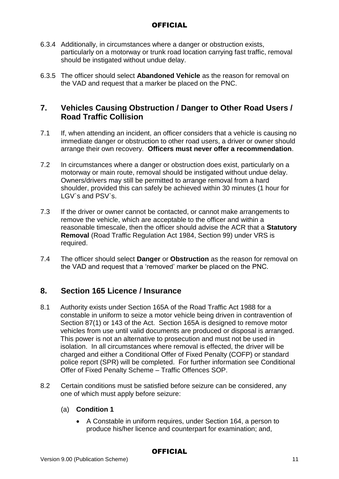- 6.3.4 Additionally, in circumstances where a danger or obstruction exists, particularly on a motorway or trunk road location carrying fast traffic, removal should be instigated without undue delay.
- 6.3.5 The officer should select **Abandoned Vehicle** as the reason for removal on the VAD and request that a marker be placed on the PNC.

# **7. Vehicles Causing Obstruction / Danger to Other Road Users / Road Traffic Collision**

- 7.1 If, when attending an incident, an officer considers that a vehicle is causing no immediate danger or obstruction to other road users, a driver or owner should arrange their own recovery. **Officers must never offer a recommendation**.
- 7.2 In circumstances where a danger or obstruction does exist, particularly on a motorway or main route, removal should be instigated without undue delay. Owners/drivers may still be permitted to arrange removal from a hard shoulder, provided this can safely be achieved within 30 minutes (1 hour for LGV`s and PSV`s.
- 7.3 If the driver or owner cannot be contacted, or cannot make arrangements to remove the vehicle, which are acceptable to the officer and within a reasonable timescale, then the officer should advise the ACR that a **Statutory Removal** (Road Traffic Regulation Act 1984, Section 99) under VRS is required.
- 7.4 The officer should select **Danger** or **Obstruction** as the reason for removal on the VAD and request that a 'removed' marker be placed on the PNC.

## **8. Section 165 Licence / Insurance**

- 8.1 Authority exists under Section 165A of the Road Traffic Act 1988 for a constable in uniform to seize a motor vehicle being driven in contravention of Section 87(1) or 143 of the Act. Section 165A is designed to remove motor vehicles from use until valid documents are produced or disposal is arranged. This power is not an alternative to prosecution and must not be used in isolation. In all circumstances where removal is effected, the driver will be charged and either a Conditional Offer of Fixed Penalty (COFP) or standard police report (SPR) will be completed. For further information see Conditional Offer of Fixed Penalty Scheme – Traffic Offences SOP.
- 8.2 Certain conditions must be satisfied before seizure can be considered, any one of which must apply before seizure:

#### (a) **Condition 1**

 A Constable in uniform requires, under Section 164, a person to produce his/her licence and counterpart for examination; and,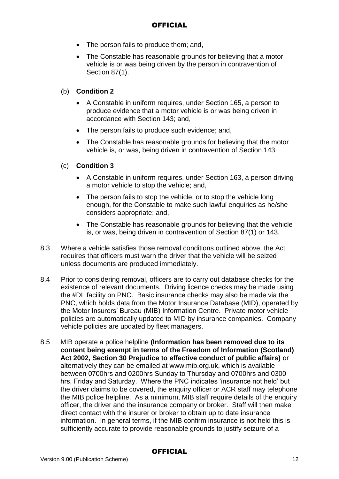- The person fails to produce them; and,
- The Constable has reasonable grounds for believing that a motor vehicle is or was being driven by the person in contravention of Section 87(1).

#### (b) **Condition 2**

- A Constable in uniform requires, under Section 165, a person to produce evidence that a motor vehicle is or was being driven in accordance with Section 143; and,
- The person fails to produce such evidence; and,
- The Constable has reasonable grounds for believing that the motor vehicle is, or was, being driven in contravention of Section 143.

#### (c) **Condition 3**

- A Constable in uniform requires, under Section 163, a person driving a motor vehicle to stop the vehicle; and,
- The person fails to stop the vehicle, or to stop the vehicle long enough, for the Constable to make such lawful enquiries as he/she considers appropriate; and,
- The Constable has reasonable grounds for believing that the vehicle is, or was, being driven in contravention of Section 87(1) or 143.
- 8.3 Where a vehicle satisfies those removal conditions outlined above, the Act requires that officers must warn the driver that the vehicle will be seized unless documents are produced immediately.
- 8.4 Prior to considering removal, officers are to carry out database checks for the existence of relevant documents. Driving licence checks may be made using the #DL facility on PNC. Basic insurance checks may also be made via the PNC, which holds data from the Motor Insurance Database (MID), operated by the Motor Insurers' Bureau (MIB) Information Centre. Private motor vehicle policies are automatically updated to MID by insurance companies. Company vehicle policies are updated by fleet managers.
- 8.5 MIB operate a police helpline **(Information has been removed due to its content being exempt in terms of the Freedom of Information (Scotland) Act 2002, Section 30 Prejudice to effective conduct of public affairs)** or alternatively they can be emailed at www.mib.org.uk, which is available between 0700hrs and 0200hrs Sunday to Thursday and 0700hrs and 0300 hrs, Friday and Saturday. Where the PNC indicates 'insurance not held' but the driver claims to be covered, the enquiry officer or ACR staff may telephone the MIB police helpline. As a minimum, MIB staff require details of the enquiry officer, the driver and the insurance company or broker. Staff will then make direct contact with the insurer or broker to obtain up to date insurance information. In general terms, if the MIB confirm insurance is not held this is sufficiently accurate to provide reasonable grounds to justify seizure of a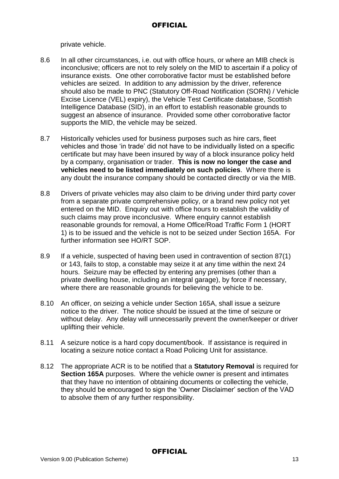private vehicle.

- 8.6 In all other circumstances, i.e. out with office hours, or where an MIB check is inconclusive; officers are not to rely solely on the MID to ascertain if a policy of insurance exists. One other corroborative factor must be established before vehicles are seized. In addition to any admission by the driver, reference should also be made to PNC (Statutory Off-Road Notification (SORN) / Vehicle Excise Licence (VEL) expiry), the Vehicle Test Certificate database, Scottish Intelligence Database (SID), in an effort to establish reasonable grounds to suggest an absence of insurance. Provided some other corroborative factor supports the MID, the vehicle may be seized.
- 8.7 Historically vehicles used for business purposes such as hire cars, fleet vehicles and those 'in trade' did not have to be individually listed on a specific certificate but may have been insured by way of a block insurance policy held by a company, organisation or trader. **This is now no longer the case and vehicles need to be listed immediately on such policies**. Where there is any doubt the insurance company should be contacted directly or via the MIB.
- 8.8 Drivers of private vehicles may also claim to be driving under third party cover from a separate private comprehensive policy, or a brand new policy not yet entered on the MID. Enquiry out with office hours to establish the validity of such claims may prove inconclusive. Where enquiry cannot establish reasonable grounds for removal, a Home Office/Road Traffic Form 1 (HORT 1) is to be issued and the vehicle is not to be seized under Section 165A. For further information see HO/RT SOP.
- 8.9 If a vehicle, suspected of having been used in contravention of section 87(1) or 143, fails to stop, a constable may seize it at any time within the next 24 hours. Seizure may be effected by entering any premises (other than a private dwelling house, including an integral garage), by force if necessary, where there are reasonable grounds for believing the vehicle to be.
- 8.10 An officer, on seizing a vehicle under Section 165A, shall issue a seizure notice to the driver. The notice should be issued at the time of seizure or without delay. Any delay will unnecessarily prevent the owner/keeper or driver uplifting their vehicle.
- 8.11 A seizure notice is a hard copy document/book. If assistance is required in locating a seizure notice contact a Road Policing Unit for assistance.
- 8.12 The appropriate ACR is to be notified that a **Statutory Removal** is required for **Section 165A** purposes. Where the vehicle owner is present and intimates that they have no intention of obtaining documents or collecting the vehicle, they should be encouraged to sign the 'Owner Disclaimer' section of the VAD to absolve them of any further responsibility.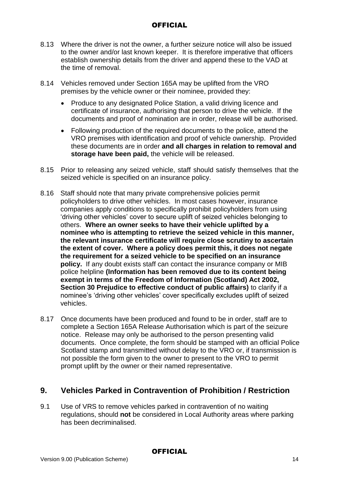- 8.13 Where the driver is not the owner, a further seizure notice will also be issued to the owner and/or last known keeper. It is therefore imperative that officers establish ownership details from the driver and append these to the VAD at the time of removal.
- 8.14 Vehicles removed under Section 165A may be uplifted from the VRO premises by the vehicle owner or their nominee, provided they:
	- Produce to any designated Police Station, a valid driving licence and certificate of insurance, authorising that person to drive the vehicle. If the documents and proof of nomination are in order, release will be authorised.
	- Following production of the required documents to the police, attend the VRO premises with identification and proof of vehicle ownership. Provided these documents are in order **and all charges in relation to removal and storage have been paid,** the vehicle will be released.
- 8.15 Prior to releasing any seized vehicle, staff should satisfy themselves that the seized vehicle is specified on an insurance policy.
- 8.16 Staff should note that many private comprehensive policies permit policyholders to drive other vehicles. In most cases however, insurance companies apply conditions to specifically prohibit policyholders from using 'driving other vehicles' cover to secure uplift of seized vehicles belonging to others. **Where an owner seeks to have their vehicle uplifted by a nominee who is attempting to retrieve the seized vehicle in this manner, the relevant insurance certificate will require close scrutiny to ascertain the extent of cover. Where a policy does permit this, it does not negate the requirement for a seized vehicle to be specified on an insurance policy.** If any doubt exists staff can contact the insurance company or MIB police helpline **(Information has been removed due to its content being exempt in terms of the Freedom of Information (Scotland) Act 2002, Section 30 Prejudice to effective conduct of public affairs)** to clarify if a nominee's 'driving other vehicles' cover specifically excludes uplift of seized vehicles.
- 8.17 Once documents have been produced and found to be in order, staff are to complete a Section 165A Release Authorisation which is part of the seizure notice. Release may only be authorised to the person presenting valid documents. Once complete, the form should be stamped with an official Police Scotland stamp and transmitted without delay to the VRO or, if transmission is not possible the form given to the owner to present to the VRO to permit prompt uplift by the owner or their named representative.

# **9. Vehicles Parked in Contravention of Prohibition / Restriction**

9.1 Use of VRS to remove vehicles parked in contravention of no waiting regulations, should **not** be considered in Local Authority areas where parking has been decriminalised.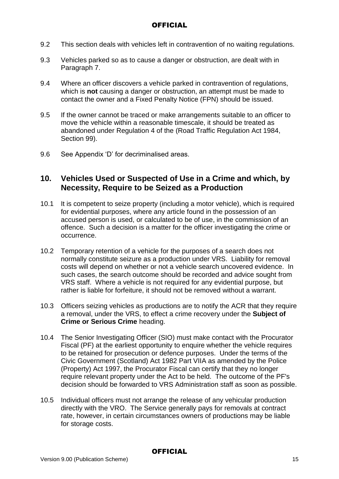- 9.2 This section deals with vehicles left in contravention of no waiting regulations.
- 9.3 Vehicles parked so as to cause a danger or obstruction, are dealt with in Paragraph 7.
- 9.4 Where an officer discovers a vehicle parked in contravention of regulations, which is **not** causing a danger or obstruction, an attempt must be made to contact the owner and a Fixed Penalty Notice (FPN) should be issued.
- 9.5 If the owner cannot be traced or make arrangements suitable to an officer to move the vehicle within a reasonable timescale, it should be treated as abandoned under Regulation 4 of the (Road Traffic Regulation Act 1984, Section 99).
- 9.6 See Appendix 'D' for decriminalised areas.

## **10. Vehicles Used or Suspected of Use in a Crime and which, by Necessity, Require to be Seized as a Production**

- 10.1 It is competent to seize property (including a motor vehicle), which is required for evidential purposes, where any article found in the possession of an accused person is used, or calculated to be of use, in the commission of an offence. Such a decision is a matter for the officer investigating the crime or occurrence.
- 10.2 Temporary retention of a vehicle for the purposes of a search does not normally constitute seizure as a production under VRS. Liability for removal costs will depend on whether or not a vehicle search uncovered evidence. In such cases, the search outcome should be recorded and advice sought from VRS staff. Where a vehicle is not required for any evidential purpose, but rather is liable for forfeiture, it should not be removed without a warrant.
- 10.3 Officers seizing vehicles as productions are to notify the ACR that they require a removal, under the VRS, to effect a crime recovery under the **Subject of Crime or Serious Crime** heading.
- 10.4 The Senior Investigating Officer (SIO) must make contact with the Procurator Fiscal (PF) at the earliest opportunity to enquire whether the vehicle requires to be retained for prosecution or defence purposes. Under the terms of the Civic Government (Scotland) Act 1982 Part VIIA as amended by the Police (Property) Act 1997, the Procurator Fiscal can certify that they no longer require relevant property under the Act to be held. The outcome of the PF's decision should be forwarded to VRS Administration staff as soon as possible.
- 10.5 Individual officers must not arrange the release of any vehicular production directly with the VRO. The Service generally pays for removals at contract rate, however, in certain circumstances owners of productions may be liable for storage costs.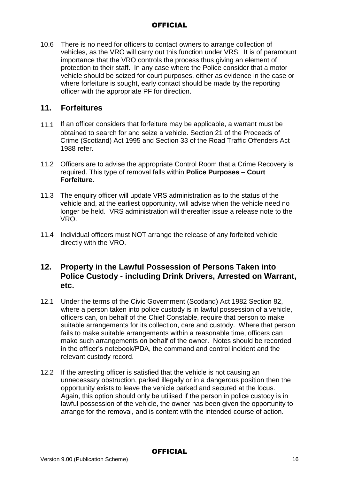10.6 There is no need for officers to contact owners to arrange collection of vehicles, as the VRO will carry out this function under VRS. It is of paramount importance that the VRO controls the process thus giving an element of protection to their staff. In any case where the Police consider that a motor vehicle should be seized for court purposes, either as evidence in the case or where forfeiture is sought, early contact should be made by the reporting officer with the appropriate PF for direction.

## **11. Forfeitures**

- 11.1 If an officer considers that forfeiture may be applicable, a warrant must be obtained to search for and seize a vehicle. Section 21 of the Proceeds of Crime (Scotland) Act 1995 and Section 33 of the Road Traffic Offenders Act 1988 refer.
- 11.2 Officers are to advise the appropriate Control Room that a Crime Recovery is required. This type of removal falls within **Police Purposes – Court Forfeiture.**
- 11.3 The enquiry officer will update VRS administration as to the status of the vehicle and, at the earliest opportunity, will advise when the vehicle need no longer be held. VRS administration will thereafter issue a release note to the VRO.
- 11.4 Individual officers must NOT arrange the release of any forfeited vehicle directly with the VRO.

## **12. Property in the Lawful Possession of Persons Taken into Police Custody - including Drink Drivers, Arrested on Warrant, etc.**

- 12.1 Under the terms of the Civic Government (Scotland) Act 1982 Section 82, where a person taken into police custody is in lawful possession of a vehicle, officers can, on behalf of the Chief Constable, require that person to make suitable arrangements for its collection, care and custody. Where that person fails to make suitable arrangements within a reasonable time, officers can make such arrangements on behalf of the owner. Notes should be recorded in the officer's notebook/PDA, the command and control incident and the relevant custody record.
- 12.2 If the arresting officer is satisfied that the vehicle is not causing an unnecessary obstruction, parked illegally or in a dangerous position then the opportunity exists to leave the vehicle parked and secured at the locus. Again, this option should only be utilised if the person in police custody is in lawful possession of the vehicle, the owner has been given the opportunity to arrange for the removal, and is content with the intended course of action.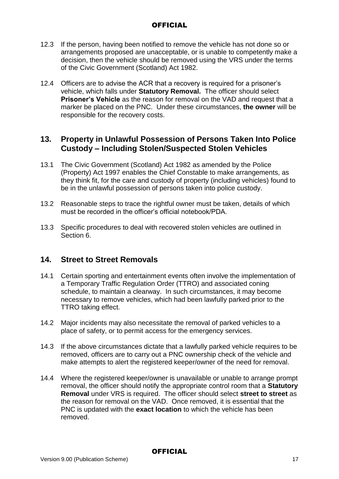- 12.3 If the person, having been notified to remove the vehicle has not done so or arrangements proposed are unacceptable, or is unable to competently make a decision, then the vehicle should be removed using the VRS under the terms of the Civic Government (Scotland) Act 1982.
- 12.4 Officers are to advise the ACR that a recovery is required for a prisoner's vehicle, which falls under **Statutory Removal.** The officer should select **Prisoner's Vehicle** as the reason for removal on the VAD and request that a marker be placed on the PNC. Under these circumstances, **the owner** will be responsible for the recovery costs.

## **13. Property in Unlawful Possession of Persons Taken Into Police Custody – Including Stolen/Suspected Stolen Vehicles**

- 13.1 The Civic Government (Scotland) Act 1982 as amended by the Police (Property) Act 1997 enables the Chief Constable to make arrangements, as they think fit, for the care and custody of property (including vehicles) found to be in the unlawful possession of persons taken into police custody.
- 13.2 Reasonable steps to trace the rightful owner must be taken, details of which must be recorded in the officer's official notebook/PDA.
- 13.3 Specific procedures to deal with recovered stolen vehicles are outlined in Section 6.

## **14. Street to Street Removals**

- 14.1 Certain sporting and entertainment events often involve the implementation of a Temporary Traffic Regulation Order (TTRO) and associated coning schedule, to maintain a clearway. In such circumstances, it may become necessary to remove vehicles, which had been lawfully parked prior to the TTRO taking effect.
- 14.2 Major incidents may also necessitate the removal of parked vehicles to a place of safety, or to permit access for the emergency services.
- 14.3 If the above circumstances dictate that a lawfully parked vehicle requires to be removed, officers are to carry out a PNC ownership check of the vehicle and make attempts to alert the registered keeper/owner of the need for removal.
- 14.4 Where the registered keeper/owner is unavailable or unable to arrange prompt removal, the officer should notify the appropriate control room that a **Statutory Removal** under VRS is required. The officer should select **street to street** as the reason for removal on the VAD. Once removed, it is essential that the PNC is updated with the **exact location** to which the vehicle has been removed.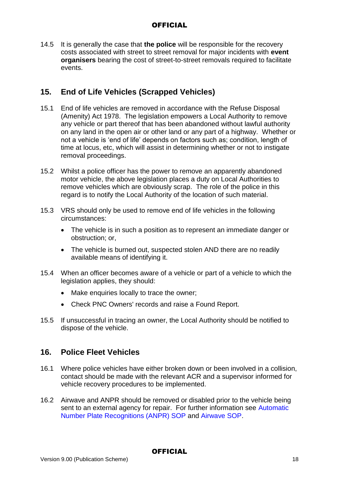14.5 It is generally the case that **the police** will be responsible for the recovery costs associated with street to street removal for major incidents with **event organisers** bearing the cost of street-to-street removals required to facilitate events.

# **15. End of Life Vehicles (Scrapped Vehicles)**

- 15.1 End of life vehicles are removed in accordance with the Refuse Disposal (Amenity) Act 1978. The legislation empowers a Local Authority to remove any vehicle or part thereof that has been abandoned without lawful authority on any land in the open air or other land or any part of a highway. Whether or not a vehicle is 'end of life' depends on factors such as; condition, length of time at locus, etc, which will assist in determining whether or not to instigate removal proceedings.
- 15.2 Whilst a police officer has the power to remove an apparently abandoned motor vehicle, the above legislation places a duty on Local Authorities to remove vehicles which are obviously scrap. The role of the police in this regard is to notify the Local Authority of the location of such material.
- 15.3 VRS should only be used to remove end of life vehicles in the following circumstances:
	- The vehicle is in such a position as to represent an immediate danger or obstruction; or,
	- The vehicle is burned out, suspected stolen AND there are no readily available means of identifying it.
- 15.4 When an officer becomes aware of a vehicle or part of a vehicle to which the legislation applies, they should:
	- Make enquiries locally to trace the owner;
	- Check PNC Owners' records and raise a Found Report.
- 15.5 If unsuccessful in tracing an owner, the Local Authority should be notified to dispose of the vehicle.

# **16. Police Fleet Vehicles**

- 16.1 Where police vehicles have either broken down or been involved in a collision, contact should be made with the relevant ACR and a supervisor informed for vehicle recovery procedures to be implemented.
- 16.2 Airwave and ANPR should be removed or disabled prior to the vehicle being sent to an external agency for repair. For further information see Automatic Number Plate Recognitions (ANPR) SOP and Airwave SOP.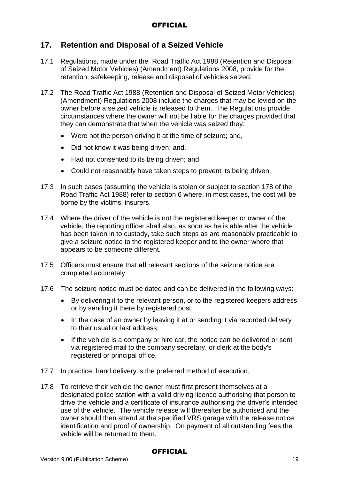# **17. Retention and Disposal of a Seized Vehicle**

- 17.1 Regulations, made under the Road Traffic Act 1988 (Retention and Disposal of Seized Motor Vehicles) (Amendment) Regulations 2008, provide for the retention, safekeeping, release and disposal of vehicles seized.
- 17.2 The Road Traffic Act 1988 (Retention and Disposal of Seized Motor Vehicles) (Amendment) Regulations 2008 include the charges that may be levied on the owner before a seized vehicle is released to them. The Regulations provide circumstances where the owner will not be liable for the charges provided that they can demonstrate that when the vehicle was seized they:
	- Were not the person driving it at the time of seizure; and,
	- Did not know it was being driven; and,
	- Had not consented to its being driven; and,
	- Could not reasonably have taken steps to prevent its being driven.
- 17.3 In such cases (assuming the vehicle is stolen or subject to section 178 of the Road Traffic Act 1988) refer to section 6 where, in most cases, the cost will be borne by the victims' insurers.
- 17.4 Where the driver of the vehicle is not the registered keeper or owner of the vehicle, the reporting officer shall also, as soon as he is able after the vehicle has been taken in to custody, take such steps as are reasonably practicable to give a seizure notice to the registered keeper and to the owner where that appears to be someone different.
- 17.5 Officers must ensure that **all** relevant sections of the seizure notice are completed accurately.
- 17.6 The seizure notice must be dated and can be delivered in the following ways:
	- By delivering it to the relevant person, or to the registered keepers address or by sending it there by registered post;
	- In the case of an owner by leaving it at or sending it via recorded delivery to their usual or last address;
	- If the vehicle is a company or hire car, the notice can be delivered or sent via registered mail to the company secretary, or clerk at the body's registered or principal office.
- 17.7 In practice, hand delivery is the preferred method of execution.
- 17.8 To retrieve their vehicle the owner must first present themselves at a designated police station with a valid driving licence authorising that person to drive the vehicle and a certificate of insurance authorising the driver's intended use of the vehicle. The vehicle release will thereafter be authorised and the owner should then attend at the specified VRS garage with the release notice, identification and proof of ownership. On payment of all outstanding fees the vehicle will be returned to them.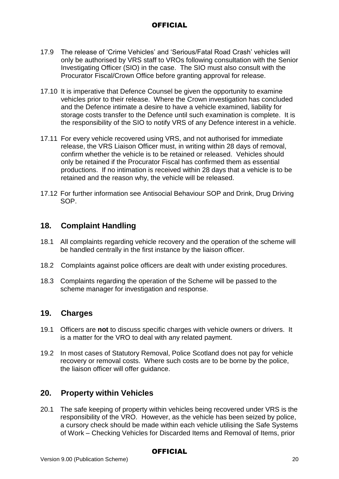- 17.9 The release of 'Crime Vehicles' and 'Serious/Fatal Road Crash' vehicles will only be authorised by VRS staff to VROs following consultation with the Senior Investigating Officer (SIO) in the case. The SIO must also consult with the Procurator Fiscal/Crown Office before granting approval for release.
- 17.10 It is imperative that Defence Counsel be given the opportunity to examine vehicles prior to their release. Where the Crown investigation has concluded and the Defence intimate a desire to have a vehicle examined, liability for storage costs transfer to the Defence until such examination is complete. It is the responsibility of the SIO to notify VRS of any Defence interest in a vehicle.
- 17.11 For every vehicle recovered using VRS, and not authorised for immediate release, the VRS Liaison Officer must, in writing within 28 days of removal, confirm whether the vehicle is to be retained or released. Vehicles should only be retained if the Procurator Fiscal has confirmed them as essential productions. If no intimation is received within 28 days that a vehicle is to be retained and the reason why, the vehicle will be released.
- 17.12 For further information see Antisocial Behaviour SOP and Drink, Drug Driving SOP.

## **18. Complaint Handling**

- 18.1 All complaints regarding vehicle recovery and the operation of the scheme will be handled centrally in the first instance by the liaison officer.
- 18.2 Complaints against police officers are dealt with under existing procedures.
- 18.3 Complaints regarding the operation of the Scheme will be passed to the scheme manager for investigation and response.

#### **19. Charges**

- 19.1 Officers are **not** to discuss specific charges with vehicle owners or drivers. It is a matter for the VRO to deal with any related payment.
- 19.2 In most cases of Statutory Removal, Police Scotland does not pay for vehicle recovery or removal costs. Where such costs are to be borne by the police, the liaison officer will offer guidance.

## **20. Property within Vehicles**

20.1 The safe keeping of property within vehicles being recovered under VRS is the responsibility of the VRO. However, as the vehicle has been seized by police, a cursory check should be made within each vehicle utilising the Safe Systems of Work – Checking Vehicles for Discarded Items and Removal of Items, prior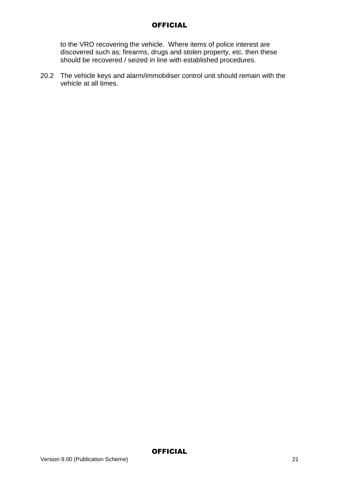to the VRO recovering the vehicle. Where items of police interest are discovered such as; firearms, drugs and stolen property, etc. then these should be recovered / seized in line with established procedures.

20.2 The vehicle keys and alarm/immobiliser control unit should remain with the vehicle at all times.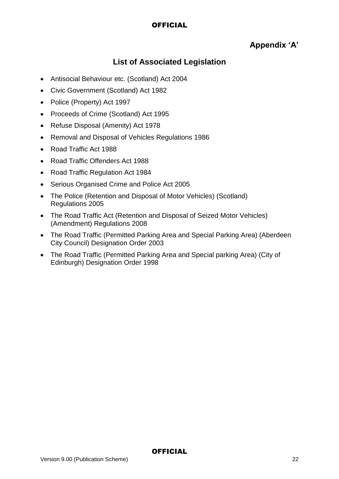# **Appendix 'A'**

# **List of Associated Legislation**

- Antisocial Behaviour etc. (Scotland) Act 2004
- Civic Government (Scotland) Act 1982
- Police (Property) Act 1997
- Proceeds of Crime (Scotland) Act 1995
- Refuse Disposal (Amenity) Act 1978
- Removal and Disposal of Vehicles Regulations 1986
- Road Traffic Act 1988
- Road Traffic Offenders Act 1988
- Road Traffic Regulation Act 1984
- Serious Organised Crime and Police Act 2005
- The Police (Retention and Disposal of Motor Vehicles) (Scotland) Regulations 2005
- The Road Traffic Act (Retention and Disposal of Seized Motor Vehicles) (Amendment) Regulations 2008
- The Road Traffic (Permitted Parking Area and Special Parking Area) (Aberdeen City Council) Designation Order 2003
- The Road Traffic (Permitted Parking Area and Special parking Area) (City of Edinburgh) Designation Order 1998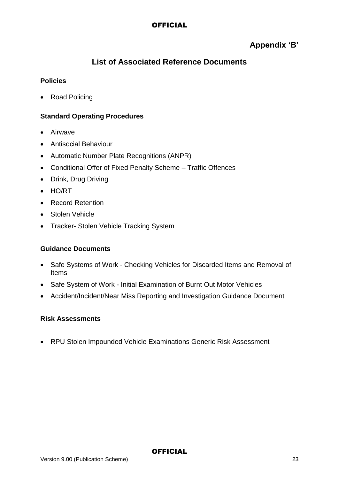# **Appendix 'B'**

# **List of Associated Reference Documents**

#### **Policies**

• Road Policing

### **Standard Operating Procedures**

- Airwave
- Antisocial Behaviour
- Automatic Number Plate Recognitions (ANPR)
- Conditional Offer of Fixed Penalty Scheme Traffic Offences
- Drink, Drug Driving
- HO/RT
- Record Retention
- Stolen Vehicle
- Tracker- Stolen Vehicle Tracking System

#### **Guidance Documents**

- Safe Systems of Work Checking Vehicles for Discarded Items and Removal of Items
- Safe System of Work Initial Examination of Burnt Out Motor Vehicles
- Accident/Incident/Near Miss Reporting and Investigation Guidance Document

#### **Risk Assessments**

RPU Stolen Impounded Vehicle Examinations Generic Risk Assessment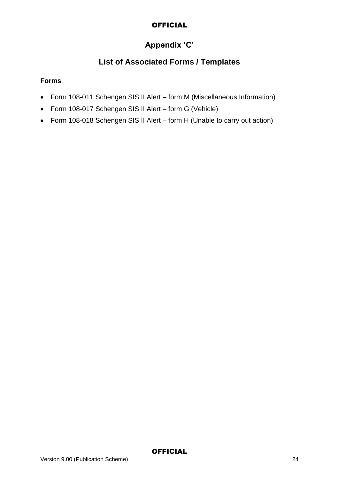# **Appendix 'C'**

# **List of Associated Forms / Templates**

#### **Forms**

- Form 108-011 Schengen SIS II Alert form M (Miscellaneous Information)
- Form 108-017 Schengen SIS II Alert form G (Vehicle)
- Form 108-018 Schengen SIS II Alert form H (Unable to carry out action)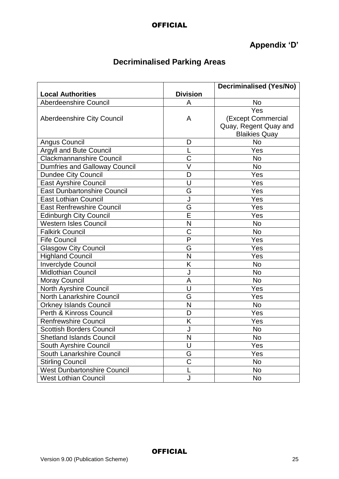# **Appendix 'D'**

# **Decriminalised Parking Areas**

|                                      |                         | <b>Decriminalised (Yes/No)</b> |
|--------------------------------------|-------------------------|--------------------------------|
| <b>Local Authorities</b>             | <b>Division</b>         |                                |
| <b>Aberdeenshire Council</b>         | A                       | <b>No</b>                      |
|                                      |                         | Yes                            |
| <b>Aberdeenshire City Council</b>    | A                       | (Except Commercial             |
|                                      |                         | Quay, Regent Quay and          |
|                                      |                         | <b>Blaikies Quay</b>           |
| <b>Angus Council</b>                 | D                       | <b>No</b>                      |
| Argyll and Bute Council              |                         | Yes                            |
| <b>Clackmannanshire Council</b>      | C                       | No                             |
| <b>Dumfries and Galloway Council</b> | V                       | No                             |
| <b>Dundee City Council</b>           | D                       | Yes                            |
| <b>East Ayrshire Council</b>         | U                       | Yes                            |
| <b>East Dunbartonshire Council</b>   | G                       | Yes                            |
| <b>East Lothian Council</b>          |                         | Yes                            |
| <b>East Renfrewshire Council</b>     | G                       | Yes                            |
| <b>Edinburgh City Council</b>        | Ē                       | Yes                            |
| <b>Western Isles Council</b>         | N                       | <b>No</b>                      |
| <b>Falkirk Council</b>               | C                       | <b>No</b>                      |
| <b>Fife Council</b>                  | $\overline{P}$          | Yes                            |
| <b>Glasgow City Council</b>          | G                       | Yes                            |
| <b>Highland Council</b>              | N                       | Yes                            |
| <b>Inverclyde Council</b>            | K                       | No                             |
| <b>Midlothian Council</b>            | J                       | <b>No</b>                      |
| <b>Moray Council</b>                 | A                       | <b>No</b>                      |
| North Ayrshire Council               | U                       | Yes                            |
| <b>North Lanarkshire Council</b>     | G                       | Yes                            |
| <b>Orkney Islands Council</b>        | N                       | No                             |
| Perth & Kinross Council              | D                       | Yes                            |
| <b>Renfrewshire Council</b>          | Κ                       | Yes                            |
| <b>Scottish Borders Council</b>      |                         | No                             |
| <b>Shetland Islands Council</b>      | $\overline{\mathsf{N}}$ | No                             |
| South Ayrshire Council               | U                       | Yes                            |
| South Lanarkshire Council            | G                       | Yes                            |
| <b>Stirling Council</b>              | C                       | No                             |
| <b>West Dunbartonshire Council</b>   |                         | No                             |
| <b>West Lothian Council</b>          | J                       | <b>No</b>                      |